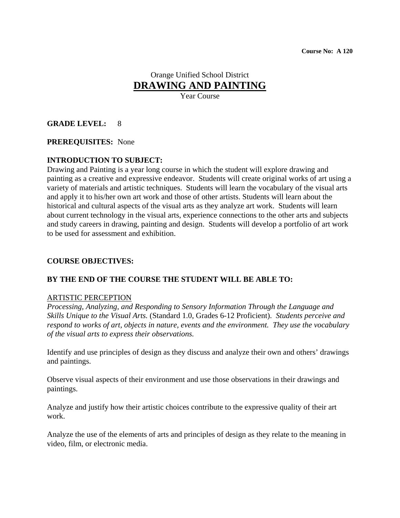# Orange Unified School District **DRAWING AND PAINTING**

Year Course

### **GRADE LEVEL:** 8

#### **PREREQUISITES:** None

### **INTRODUCTION TO SUBJECT:**

Drawing and Painting is a year long course in which the student will explore drawing and painting as a creative and expressive endeavor. Students will create original works of art using a variety of materials and artistic techniques. Students will learn the vocabulary of the visual arts and apply it to his/her own art work and those of other artists. Students will learn about the historical and cultural aspects of the visual arts as they analyze art work. Students will learn about current technology in the visual arts, experience connections to the other arts and subjects and study careers in drawing, painting and design. Students will develop a portfolio of art work to be used for assessment and exhibition.

#### **COURSE OBJECTIVES:**

#### **BY THE END OF THE COURSE THE STUDENT WILL BE ABLE TO:**

#### ARTISTIC PERCEPTION

*Processing, Analyzing, and Responding to Sensory Information Through the Language and Skills Unique to the Visual Arts.* (Standard 1.0, Grades 6-12 Proficient). *Students perceive and respond to works of art, objects in nature, events and the environment. They use the vocabulary of the visual arts to express their observations.*

Identify and use principles of design as they discuss and analyze their own and others' drawings and paintings.

Observe visual aspects of their environment and use those observations in their drawings and paintings.

Analyze and justify how their artistic choices contribute to the expressive quality of their art work.

Analyze the use of the elements of arts and principles of design as they relate to the meaning in video, film, or electronic media.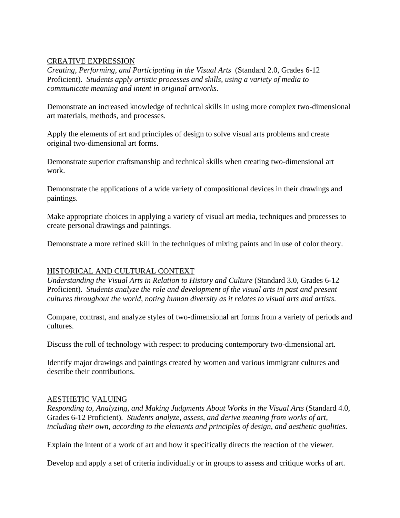### CREATIVE EXPRESSION

*Creating, Performing, and Participating in the Visual Arts* (Standard 2.0, Grades 6-12 Proficient). *Students apply artistic processes and skills, using a variety of media to communicate meaning and intent in original artworks.*

Demonstrate an increased knowledge of technical skills in using more complex two-dimensional art materials, methods, and processes.

Apply the elements of art and principles of design to solve visual arts problems and create original two-dimensional art forms.

Demonstrate superior craftsmanship and technical skills when creating two-dimensional art work.

Demonstrate the applications of a wide variety of compositional devices in their drawings and paintings.

Make appropriate choices in applying a variety of visual art media, techniques and processes to create personal drawings and paintings.

Demonstrate a more refined skill in the techniques of mixing paints and in use of color theory.

### HISTORICAL AND CULTURAL CONTEXT

*Understanding the Visual Arts in Relation to History and Culture* (Standard 3.0, Grades 6-12 Proficient). *Students analyze the role and development of the visual arts in past and present cultures throughout the world, noting human diversity as it relates to visual arts and artists.*

Compare, contrast, and analyze styles of two-dimensional art forms from a variety of periods and cultures.

Discuss the roll of technology with respect to producing contemporary two-dimensional art.

Identify major drawings and paintings created by women and various immigrant cultures and describe their contributions.

### AESTHETIC VALUING

*Responding to, Analyzing, and Making Judgments About Works in the Visual Arts* (Standard 4.0, Grades 6-12 Proficient). *Students analyze, assess, and derive meaning from works of art, including their own, according to the elements and principles of design, and aesthetic qualities.*

Explain the intent of a work of art and how it specifically directs the reaction of the viewer.

Develop and apply a set of criteria individually or in groups to assess and critique works of art.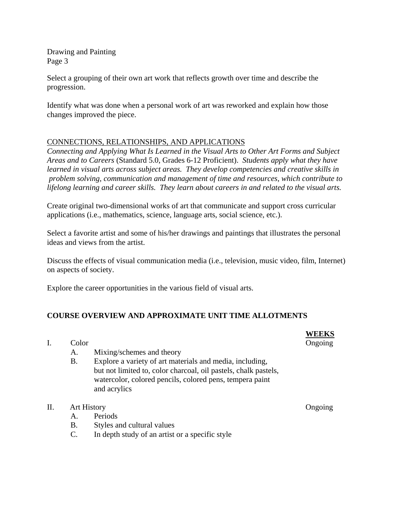Drawing and Painting Page 3

Select a grouping of their own art work that reflects growth over time and describe the progression.

Identify what was done when a personal work of art was reworked and explain how those changes improved the piece.

### CONNECTIONS, RELATIONSHIPS, AND APPLICATIONS

*Connecting and Applying What Is Learned in the Visual Arts to Other Art Forms and Subject Areas and to Careers* (Standard 5.0, Grades 6-12 Proficient). *Students apply what they have learned in visual arts across subject areas. They develop competencies and creative skills in problem solving, communication and management of time and resources, which contribute to lifelong learning and career skills. They learn about careers in and related to the visual arts.*

Create original two-dimensional works of art that communicate and support cross curricular applications (i.e., mathematics, science, language arts, social science, etc.).

Select a favorite artist and some of his/her drawings and paintings that illustrates the personal ideas and views from the artist.

Discuss the effects of visual communication media (i.e., television, music video, film, Internet) on aspects of society.

Explore the career opportunities in the various field of visual arts.

## **COURSE OVERVIEW AND APPROXIMATE UNIT TIME ALLOTMENTS**

|     | Color              |                                                                                                                                                                                                         | WEEKS<br>Ongoing |
|-----|--------------------|---------------------------------------------------------------------------------------------------------------------------------------------------------------------------------------------------------|------------------|
|     | А.                 | Mixing/schemes and theory                                                                                                                                                                               |                  |
|     | <b>B.</b>          | Explore a variety of art materials and media, including,<br>but not limited to, color charcoal, oil pastels, chalk pastels,<br>watercolor, colored pencils, colored pens, tempera paint<br>and acrylics |                  |
| II. | <b>Art History</b> |                                                                                                                                                                                                         | Ongoing          |
|     | Α.                 | Periods                                                                                                                                                                                                 |                  |
|     | <b>B.</b>          | Styles and cultural values                                                                                                                                                                              |                  |
|     | $\mathcal{C}$ .    | In depth study of an artist or a specific style                                                                                                                                                         |                  |
|     |                    |                                                                                                                                                                                                         |                  |